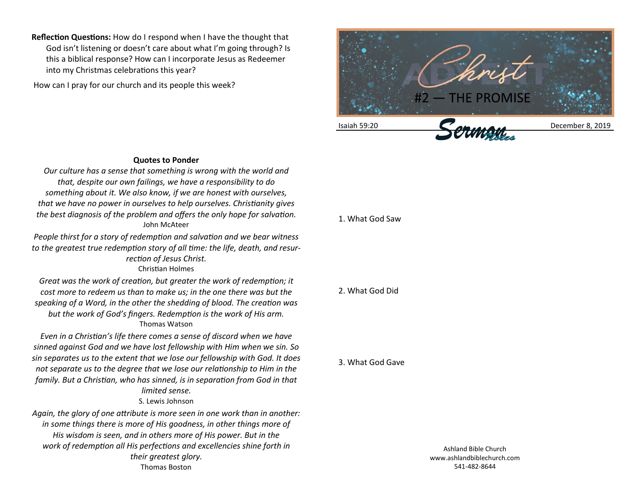**Reflection Questions:** How do I respond when I have the thought that God isn't listening or doesn't care about what I'm going through? Is this a biblical response? How can I incorporate Jesus as Redeemer into my Christmas celebrations this year?

How can I pray for our church and its people this week?



## **Quotes to Ponder**

*Our culture has a sense that something is wrong with the world and that, despite our own failings, we have a responsibility to do something about it. We also know, if we are honest with ourselves, that we have no power in ourselves to help ourselves. Christianity gives the best diagnosis of the problem and offers the only hope for salvation.*  John McAteer

*People thirst for a story of redemption and salvation and we bear witness to the greatest true redemption story of all time: the life, death, and resurrection of Jesus Christ.* Christian Holmes

*Great was the work of creation, but greater the work of redemption; it cost more to redeem us than to make us; in the one there was but the speaking of a Word, in the other the shedding of blood. The creation was but the work of God's fingers. Redemption is the work of His arm.* Thomas Watson

*Even in a Christian's life there comes a sense of discord when we have sinned against God and we have lost fellowship with Him when we sin. So sin separates us to the extent that we lose our fellowship with God. It does not separate us to the degree that we lose our relationship to Him in the family. But a Christian, who has sinned, is in separation from God in that limited sense.* S. Lewis Johnson

*Again, the glory of one attribute is more seen in one work than in another: in some things there is more of His goodness, in other things more of* 

*His wisdom is seen, and in others more of His power. But in the work of redemption all His perfections and excellencies shine forth in their greatest glory.* Thomas Boston

## 1. What God Saw

## 2. What God Did

## 3. What God Gave

Ashland Bible Church www.ashlandbiblechurch.com 541-482-8644